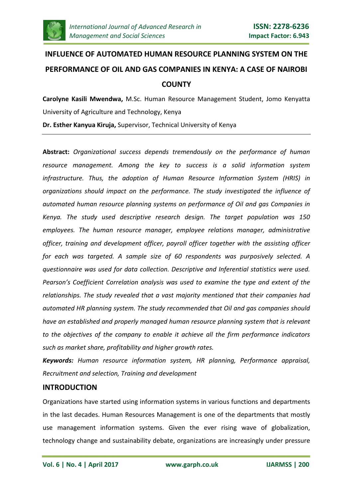

# **INFLUENCE OF AUTOMATED HUMAN RESOURCE PLANNING SYSTEM ON THE PERFORMANCE OF OIL AND GAS COMPANIES IN KENYA: A CASE OF NAIROBI COUNTY**

**Carolyne Kasili Mwendwa,** M.Sc. Human Resource Management Student, Jomo Kenyatta University of Agriculture and Technology, Kenya

**Dr. Esther Kanyua Kiruja,** Supervisor, Technical University of Kenya

**Abstract:** *Organizational success depends tremendously on the performance of human resource management. Among the key to success is a solid information system infrastructure. Thus, the adoption of Human Resource Information System (HRIS) in organizations should impact on the performance. The study investigated the influence of automated human resource planning systems on performance of Oil and gas Companies in Kenya. The study used descriptive research design. The target population was 150 employees. The human resource manager, employee relations manager, administrative officer, training and development officer, payroll officer together with the assisting officer for each was targeted. A sample size of 60 respondents was purposively selected. A questionnaire was used for data collection. Descriptive and Inferential statistics were used. Pearson's Coefficient Correlation analysis was used to examine the type and extent of the relationships. The study revealed that a vast majority mentioned that their companies had automated HR planning system. The study recommended that Oil and gas companies should have an established and properly managed human resource planning system that is relevant to the objectives of the company to enable it achieve all the firm performance indicators such as market share, profitability and higher growth rates.*

*Keywords: Human resource information system, HR planning, Performance appraisal, Recruitment and selection, Training and development*

# **INTRODUCTION**

Organizations have started using information systems in various functions and departments in the last decades. Human Resources Management is one of the departments that mostly use management information systems. Given the ever rising wave of globalization, technology change and sustainability debate, organizations are increasingly under pressure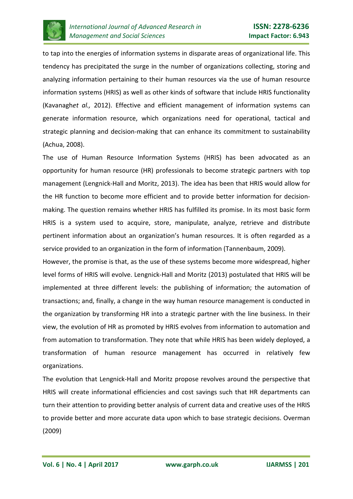

to tap into the energies of information systems in disparate areas of organizational life. This tendency has precipitated the surge in the number of organizations collecting, storing and analyzing information pertaining to their human resources via the use of human resource information systems (HRIS) as well as other kinds of software that include HRIS functionality (Kavanagh*et al.,* 2012). Effective and efficient management of information systems can generate information resource, which organizations need for operational, tactical and strategic planning and decision-making that can enhance its commitment to sustainability (Achua, 2008).

The use of Human Resource Information Systems (HRIS) has been advocated as an opportunity for human resource (HR) professionals to become strategic partners with top management (Lengnick-Hall and Moritz, 2013). The idea has been that HRIS would allow for the HR function to become more efficient and to provide better information for decisionmaking. The question remains whether HRIS has fulfilled its promise. In its most basic form HRIS is a system used to acquire, store, manipulate, analyze, retrieve and distribute pertinent information about an organization's human resources. It is often regarded as a service provided to an organization in the form of information (Tannenbaum, 2009).

However, the promise is that, as the use of these systems become more widespread, higher level forms of HRIS will evolve. Lengnick-Hall and Moritz (2013) postulated that HRIS will be implemented at three different levels: the publishing of information; the automation of transactions; and, finally, a change in the way human resource management is conducted in the organization by transforming HR into a strategic partner with the line business. In their view, the evolution of HR as promoted by HRIS evolves from information to automation and from automation to transformation. They note that while HRIS has been widely deployed, a transformation of human resource management has occurred in relatively few organizations.

The evolution that Lengnick-Hall and Moritz propose revolves around the perspective that HRIS will create informational efficiencies and cost savings such that HR departments can turn their attention to providing better analysis of current data and creative uses of the HRIS to provide better and more accurate data upon which to base strategic decisions. Overman (2009)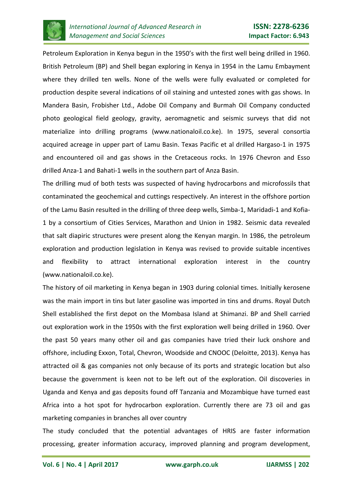

Petroleum Exploration in Kenya begun in the 1950's with the first well being drilled in 1960. British Petroleum (BP) and Shell began exploring in Kenya in 1954 in the Lamu Embayment where they drilled ten wells. None of the wells were fully evaluated or completed for production despite several indications of oil staining and untested zones with gas shows. In Mandera Basin, Frobisher Ltd., Adobe Oil Company and Burmah Oil Company conducted photo geological field geology, gravity, aeromagnetic and seismic surveys that did not materialize into drilling programs (www.nationaloil.co.ke). In 1975, several consortia acquired acreage in upper part of Lamu Basin. Texas Pacific et al drilled Hargaso-1 in 1975 and encountered oil and gas shows in the Cretaceous rocks. In 1976 Chevron and Esso drilled Anza-1 and Bahati-1 wells in the southern part of Anza Basin.

The drilling mud of both tests was suspected of having hydrocarbons and microfossils that contaminated the geochemical and cuttings respectively. An interest in the offshore portion of the Lamu Basin resulted in the drilling of three deep wells, Simba-1, Maridadi-1 and Kofia-1 by a consortium of Cities Services, Marathon and Union in 1982. Seismic data revealed that salt diapiric structures were present along the Kenyan margin. In 1986, the petroleum exploration and production legislation in Kenya was revised to provide suitable incentives and flexibility to attract international exploration interest in the country (www.nationaloil.co.ke).

The history of oil marketing in Kenya began in 1903 during colonial times. Initially kerosene was the main import in tins but later gasoline was imported in tins and drums. Royal Dutch Shell established the first depot on the Mombasa Island at Shimanzi. BP and Shell carried out exploration work in the 1950s with the first exploration well being drilled in 1960. Over the past 50 years many other oil and gas companies have tried their luck onshore and offshore, including Exxon, Total, Chevron, Woodside and CNOOC (Deloitte, 2013). Kenya has attracted oil & gas companies not only because of its ports and strategic location but also because the government is keen not to be left out of the exploration. Oil discoveries in Uganda and Kenya and gas deposits found off Tanzania and Mozambique have turned east Africa into a hot spot for hydrocarbon exploration. Currently there are 73 oil and gas marketing companies in branches all over country

The study concluded that the potential advantages of HRIS are faster information processing, greater information accuracy, improved planning and program development,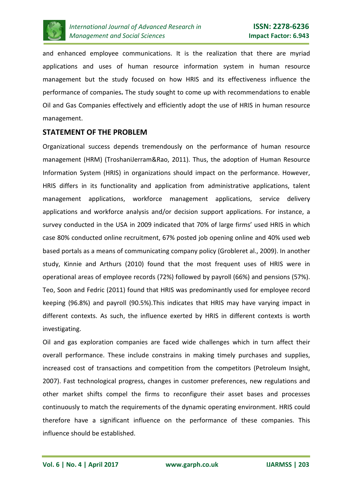

and enhanced employee communications. It is the realization that there are myriad applications and uses of human resource information system in human resource management but the study focused on how HRIS and its effectiveness influence the performance of companies**.** The study sought to come up with recommendations to enable Oil and Gas Companies effectively and efficiently adopt the use of HRIS in human resource management.

# **STATEMENT OF THE PROBLEM**

Organizational success depends tremendously on the performance of human resource management (HRM) (TroshaniJerram&Rao, 2011). Thus, the adoption of Human Resource Information System (HRIS) in organizations should impact on the performance. However, HRIS differs in its functionality and application from administrative applications, talent management applications, workforce management applications, service delivery applications and workforce analysis and/or decision support applications. For instance, a survey conducted in the USA in 2009 indicated that 70% of large firms' used HRIS in which case 80% conducted online recruitment, 67% posted job opening online and 40% used web based portals as a means of communicating company policy (Grobleret al., 2009). In another study, Kinnie and Arthurs (2010) found that the most frequent uses of HRIS were in operational areas of employee records (72%) followed by payroll (66%) and pensions (57%). Teo, Soon and Fedric (2011) found that HRIS was predominantly used for employee record keeping (96.8%) and payroll (90.5%).This indicates that HRIS may have varying impact in different contexts. As such, the influence exerted by HRIS in different contexts is worth investigating.

Oil and gas exploration companies are faced wide challenges which in turn affect their overall performance. These include constrains in making timely purchases and supplies, increased cost of transactions and competition from the competitors (Petroleum Insight, 2007). Fast technological progress, changes in customer preferences, new regulations and other market shifts compel the firms to reconfigure their asset bases and processes continuously to match the requirements of the dynamic operating environment. HRIS could therefore have a significant influence on the performance of these companies. This influence should be established.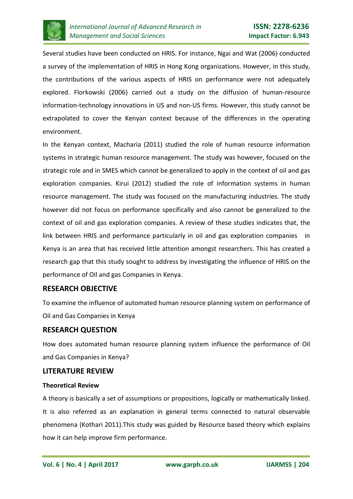

Several studies have been conducted on HRIS. For instance, Ngai and Wat (2006) conducted a survey of the implementation of HRIS in Hong Kong organizations. However, in this study, the contributions of the various aspects of HRIS on performance were not adequately explored. Florkowski (2006) carried out a study on the diffusion of human-resource information-technology innovations in US and non-US firms. However, this study cannot be extrapolated to cover the Kenyan context because of the differences in the operating environment.

In the Kenyan context, Macharia (2011) studied the role of human resource information systems in strategic human resource management. The study was however, focused on the strategic role and in SMES which cannot be generalized to apply in the context of oil and gas exploration companies. Kirui (2012) studied the role of information systems in human resource management. The study was focused on the manufacturing industries. The study however did not focus on performance specifically and also cannot be generalized to the context of oil and gas exploration companies. A review of these studies indicates that, the link between HRIS and performance particularly in oil and gas exploration companies in Kenya is an area that has received little attention amongst researchers. This has created a research gap that this study sought to address by investigating the influence of HRIS on the performance of Oil and gas Companies in Kenya.

# **RESEARCH OBJECTIVE**

To examine the influence of automated human resource planning system on performance of Oil and Gas Companies in Kenya

# **RESEARCH QUESTION**

How does automated human resource planning system influence the performance of Oil and Gas Companies in Kenya?

## **LITERATURE REVIEW**

#### **Theoretical Review**

A theory is basically a set of assumptions or propositions, logically or mathematically linked. It is also referred as an explanation in general terms connected to natural observable phenomena (Kothari 2011).This study was guided by Resource based theory which explains how it can help improve firm performance.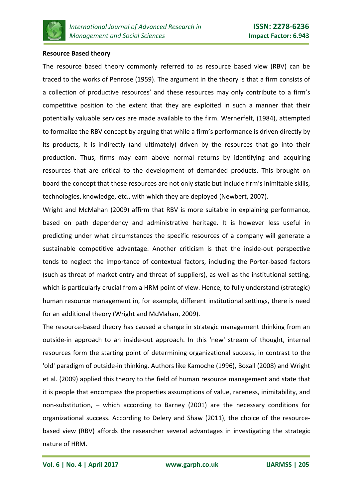

#### **Resource Based theory**

The resource based theory commonly referred to as resource based view (RBV) can be traced to the works of Penrose (1959). The argument in the theory is that a firm consists of a collection of productive resources' and these resources may only contribute to a firm's competitive position to the extent that they are exploited in such a manner that their potentially valuable services are made available to the firm. Wernerfelt, (1984), attempted to formalize the RBV concept by arguing that while a firm's performance is driven directly by its products, it is indirectly (and ultimately) driven by the resources that go into their production. Thus, firms may earn above normal returns by identifying and acquiring resources that are critical to the development of demanded products. This brought on board the concept that these resources are not only static but include firm's inimitable skills, technologies, knowledge, etc., with which they are deployed (Newbert, 2007).

Wright and McMahan (2009) affirm that RBV is more suitable in explaining performance, based on path dependency and administrative heritage. It is however less useful in predicting under what circumstances the specific resources of a company will generate a sustainable competitive advantage. Another criticism is that the inside-out perspective tends to neglect the importance of contextual factors, including the Porter-based factors (such as threat of market entry and threat of suppliers), as well as the institutional setting, which is particularly crucial from a HRM point of view. Hence, to fully understand (strategic) human resource management in, for example, different institutional settings, there is need for an additional theory (Wright and McMahan, 2009).

The resource-based theory has caused a change in strategic management thinking from an outside-in approach to an inside-out approach. In this 'new' stream of thought, internal resources form the starting point of determining organizational success, in contrast to the 'old' paradigm of outside-in thinking. Authors like Kamoche (1996), Boxall (2008) and Wright et al. (2009) applied this theory to the field of human resource management and state that it is people that encompass the properties assumptions of value, rareness, inimitability, and non-substitution, – which according to Barney (2001) are the necessary conditions for organizational success. According to Delery and Shaw (2011), the choice of the resourcebased view (RBV) affords the researcher several advantages in investigating the strategic nature of HRM.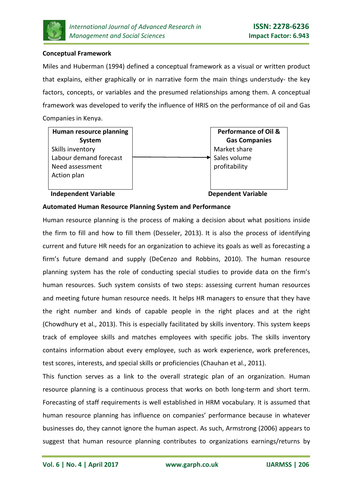

## **Conceptual Framework**

Miles and Huberman (1994) defined a conceptual framework as a visual or written product that explains, either graphically or in narrative form the main things understudy- the key factors, concepts, or variables and the presumed relationships among them. A conceptual framework was developed to verify the influence of HRIS on the performance of oil and Gas Companies in Kenya.

**Human resource planning System** Skills inventory Labour demand forecast Need assessment Action plan



**Independent Variable Communisties Communist Communist Communist Communist Communist Communist Communist Communist Communist Communist Communist Communist Communist Communist Communist Communist Communist Communist Communi** 

## **Automated Human Resource Planning System and Performance**

Human resource planning is the process of making a decision about what positions inside the firm to fill and how to fill them (Desseler, 2013). It is also the process of identifying current and future HR needs for an organization to achieve its goals as well as forecasting a firm's future demand and supply (DeCenzo and Robbins, 2010). The human resource planning system has the role of conducting special studies to provide data on the firm's human resources. Such system consists of two steps: assessing current human resources and meeting future human resource needs. It helps HR managers to ensure that they have the right number and kinds of capable people in the right places and at the right (Chowdhury et al., 2013). This is especially facilitated by skills inventory. This system keeps track of employee skills and matches employees with specific jobs. The skills inventory contains information about every employee, such as work experience, work preferences, test scores, interests, and special skills or proficiencies (Chauhan et al., 2011).

This function serves as a link to the overall strategic plan of an organization. Human resource planning is a continuous process that works on both long-term and short term. Forecasting of staff requirements is well established in HRM vocabulary. It is assumed that human resource planning has influence on companies' performance because in whatever businesses do, they cannot ignore the human aspect. As such, Armstrong (2006) appears to suggest that human resource planning contributes to organizations earnings/returns by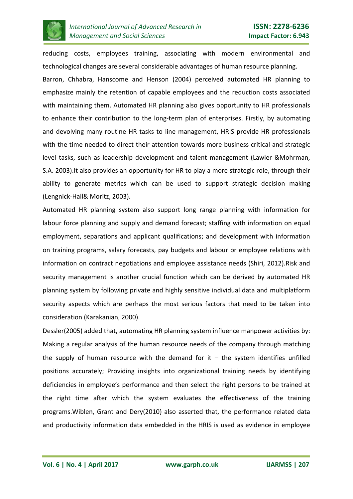

reducing costs, employees training, associating with modern environmental and technological changes are several considerable advantages of human resource planning. Barron, Chhabra, Hanscome and Henson (2004) perceived automated HR planning to emphasize mainly the retention of capable employees and the reduction costs associated with maintaining them. Automated HR planning also gives opportunity to HR professionals to enhance their contribution to the long-term plan of enterprises. Firstly, by automating and devolving many routine HR tasks to line management, HRIS provide HR professionals with the time needed to direct their attention towards more business critical and strategic level tasks, such as leadership development and talent management (Lawler &Mohrman, S.A. 2003).It also provides an opportunity for HR to play a more strategic role, through their ability to generate metrics which can be used to support strategic decision making (Lengnick-Hall& Moritz, 2003).

Automated HR planning system also support long range planning with information for labour force planning and supply and demand forecast; staffing with information on equal employment, separations and applicant qualifications; and development with information on training programs, salary forecasts, pay budgets and labour or employee relations with information on contract negotiations and employee assistance needs (Shiri, 2012).Risk and security management is another crucial function which can be derived by automated HR planning system by following private and highly sensitive individual data and multiplatform security aspects which are perhaps the most serious factors that need to be taken into consideration (Karakanian, 2000).

Dessler(2005) added that, automating HR planning system influence manpower activities by: Making a regular analysis of the human resource needs of the company through matching the supply of human resource with the demand for  $it - th$  exystem identifies unfilled positions accurately; Providing insights into organizational training needs by identifying deficiencies in employee's performance and then select the right persons to be trained at the right time after which the system evaluates the effectiveness of the training programs.Wiblen, Grant and Dery(2010) also asserted that, the performance related data and productivity information data embedded in the HRIS is used as evidence in employee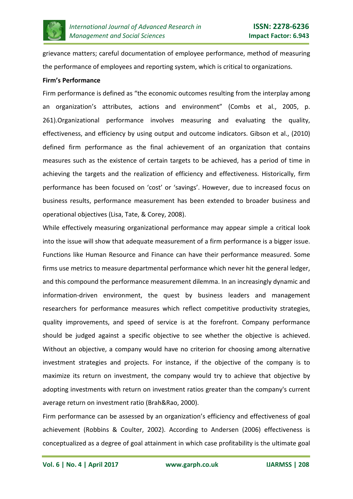

grievance matters; careful documentation of employee performance, method of measuring the performance of employees and reporting system, which is critical to organizations.

#### **Firm's Performance**

Firm performance is defined as "the economic outcomes resulting from the interplay among an organization's attributes, actions and environment" (Combs et al., 2005, p. 261).Organizational performance involves measuring and evaluating the quality, effectiveness, and efficiency by using output and outcome indicators. Gibson et al., (2010) defined firm performance as the final achievement of an organization that contains measures such as the existence of certain targets to be achieved, has a period of time in achieving the targets and the realization of efficiency and effectiveness. Historically, firm performance has been focused on 'cost' or 'savings'. However, due to increased focus on business results, performance measurement has been extended to broader business and operational objectives (Lisa, Tate, & Corey, 2008).

While effectively measuring organizational performance may appear simple a critical look into the issue will show that adequate measurement of a firm performance is a bigger issue. Functions like Human Resource and Finance can have their performance measured. Some firms use metrics to measure departmental performance which never hit the general ledger, and this compound the performance measurement dilemma. In an increasingly dynamic and information-driven environment, the quest by business leaders and management researchers for performance measures which reflect competitive productivity strategies, quality improvements, and speed of service is at the forefront. Company performance should be judged against a specific objective to see whether the objective is achieved. Without an objective, a company would have no criterion for choosing among alternative investment strategies and projects. For instance, if the objective of the company is to maximize its return on investment, the company would try to achieve that objective by adopting investments with return on investment ratios greater than the company's current average return on investment ratio (Brah&Rao, 2000).

Firm performance can be assessed by an organization's efficiency and effectiveness of goal achievement (Robbins & Coulter, 2002). According to Andersen (2006) effectiveness is conceptualized as a degree of goal attainment in which case profitability is the ultimate goal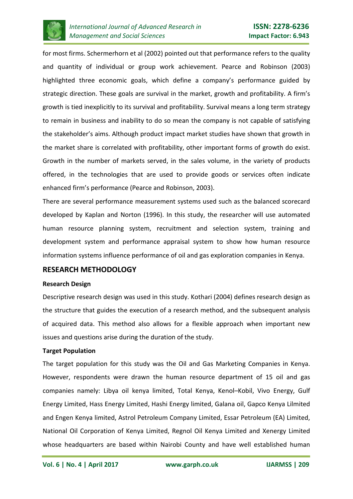

for most firms. Schermerhorn et al (2002) pointed out that performance refers to the quality and quantity of individual or group work achievement. Pearce and Robinson (2003) highlighted three economic goals, which define a company's performance guided by strategic direction. These goals are survival in the market, growth and profitability. A firm's growth is tied inexplicitly to its survival and profitability. Survival means a long term strategy to remain in business and inability to do so mean the company is not capable of satisfying the stakeholder's aims. Although product impact market studies have shown that growth in the market share is correlated with profitability, other important forms of growth do exist. Growth in the number of markets served, in the sales volume, in the variety of products offered, in the technologies that are used to provide goods or services often indicate enhanced firm's performance (Pearce and Robinson, 2003).

There are several performance measurement systems used such as the balanced scorecard developed by Kaplan and Norton (1996). In this study, the researcher will use automated human resource planning system, recruitment and selection system, training and development system and performance appraisal system to show how human resource information systems influence performance of oil and gas exploration companies in Kenya.

## **RESEARCH METHODOLOGY**

#### **Research Design**

Descriptive research design was used in this study. Kothari (2004) defines research design as the structure that guides the execution of a research method, and the subsequent analysis of acquired data. This method also allows for a flexible approach when important new issues and questions arise during the duration of the study.

## **Target Population**

The target population for this study was the Oil and Gas Marketing Companies in Kenya. However, respondents were drawn the human resource department of 15 oil and gas companies namely: Libya oil kenya limited, Total Kenya, Kenol–Kobil, Vivo Energy, Gulf Energy Limited, Hass Energy Limited, Hashi Energy limited, Galana oil, Gapco Kenya Lilmited and Engen Kenya limited, Astrol Petroleum Company Limited, Essar Petroleum (EA) Limited, National Oil Corporation of Kenya Limited, Regnol Oil Kenya Limited and Xenergy Limited whose headquarters are based within Nairobi County and have well established human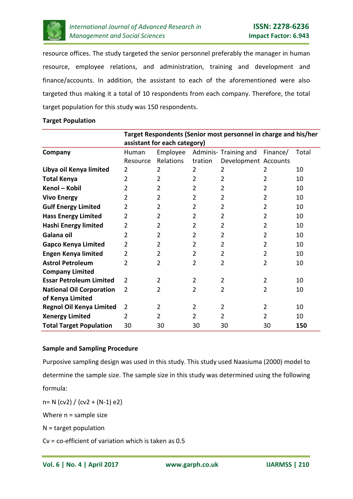

resource offices. The study targeted the senior personnel preferably the manager in human resource, employee relations, and administration, training and development and finance/accounts. In addition, the assistant to each of the aforementioned were also targeted thus making it a total of 10 respondents from each company. Therefore, the total target population for this study was 150 respondents.

#### **Target Population**

|                                 | Target Respondents (Senior most personnel in charge and his/her |                |                |                       |                |       |
|---------------------------------|-----------------------------------------------------------------|----------------|----------------|-----------------------|----------------|-------|
|                                 | assistant for each category)                                    |                |                |                       |                |       |
| Company                         | Human                                                           | Employee       |                | Adminis- Training and | Finance/       | Total |
|                                 | Resource                                                        | Relations      | tration        | Development Accounts  |                |       |
| Libya oil Kenya limited         | 2                                                               | 2              | 2              | 2                     | 2              | 10    |
| <b>Total Kenya</b>              | 2                                                               | 2              | 2              | $\overline{2}$        | $\overline{2}$ | 10    |
| Kenol - Kobil                   | 2                                                               | $\overline{2}$ | 2              | 2                     | $\overline{2}$ | 10    |
| <b>Vivo Energy</b>              | 2                                                               | 2              | 2              | 2                     | 2              | 10    |
| <b>Gulf Energy Limited</b>      | 2                                                               | 2              | 2              | 2                     | $\overline{2}$ | 10    |
| <b>Hass Energy Limited</b>      | 2                                                               | 2              | 2              | $\overline{2}$        | 2              | 10    |
| <b>Hashi Energy limited</b>     | 2                                                               | 2              | 2              | $\overline{2}$        | $\overline{2}$ | 10    |
| Galana oil                      | 2                                                               | 2              | 2              | $\overline{2}$        | $\overline{2}$ | 10    |
| <b>Gapco Kenya Limited</b>      | 2                                                               | 2              | 2              | $\overline{2}$        | 2              | 10    |
| <b>Engen Kenya limited</b>      | 2                                                               | $\overline{2}$ | $\overline{2}$ | $\overline{2}$        | $\overline{2}$ | 10    |
| <b>Astrol Petroleum</b>         | 2                                                               | 2              | 2              | 2                     | $\overline{2}$ | 10    |
| <b>Company Limited</b>          |                                                                 |                |                |                       |                |       |
| <b>Essar Petroleum Limited</b>  | 2                                                               | 2              | 2              | $\overline{2}$        | $\overline{2}$ | 10    |
| <b>National Oil Corporation</b> | $\overline{2}$                                                  | 2              | 2              | 2                     | $\overline{2}$ | 10    |
| of Kenya Limited                |                                                                 |                |                |                       |                |       |
| <b>Regnol Oil Kenya Limited</b> | $\overline{2}$                                                  | 2              | 2              | $\overline{2}$        | $\overline{2}$ | 10    |
| <b>Xenergy Limited</b>          | $\overline{2}$                                                  | 2              | 2              | 2                     | 2              | 10    |
| <b>Total Target Population</b>  | 30                                                              | 30             | 30             | 30                    | 30             | 150   |

## **Sample and Sampling Procedure**

Purposive sampling design was used in this study. This study used Naasiuma (2000) model to determine the sample size. The sample size in this study was determined using the following formula:  $n= N$  (cv2) / {cv2 + (N-1) e2}

Where  $n =$  sample size

N = target population

Cv = co-efficient of variation which is taken as 0.5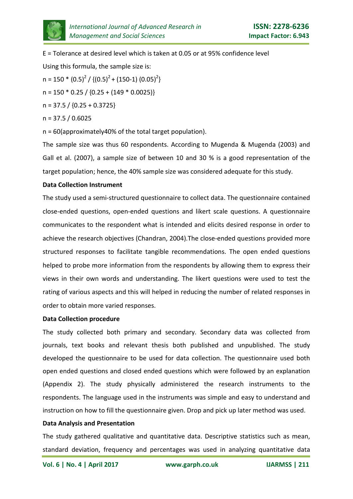

E = Tolerance at desired level which is taken at 0.05 or at 95% confidence level Using this formula, the sample size is:

 $n = 150 * (0.5)^{2} / \{(0.5)^{2} + (150-1) (0.05)^{2}\}$ 

 $n = 150 * 0.25 / {0.25 + (149 * 0.0025)}$ 

 $n = 37.5 / {0.25 + 0.3725}$ 

$$
n = 37.5 / 0.6025
$$

n = 60(approximately40% of the total target population).

The sample size was thus 60 respondents. According to Mugenda & Mugenda (2003) and Gall et al. (2007), a sample size of between 10 and 30 % is a good representation of the target population; hence, the 40% sample size was considered adequate for this study.

## **Data Collection Instrument**

The study used a semi-structured questionnaire to collect data. The questionnaire contained close-ended questions, open-ended questions and likert scale questions. A questionnaire communicates to the respondent what is intended and elicits desired response in order to achieve the research objectives (Chandran, 2004).The close-ended questions provided more structured responses to facilitate tangible recommendations. The open ended questions helped to probe more information from the respondents by allowing them to express their views in their own words and understanding. The likert questions were used to test the rating of various aspects and this will helped in reducing the number of related responses in order to obtain more varied responses.

## **Data Collection procedure**

The study collected both primary and secondary. Secondary data was collected from journals, text books and relevant thesis both published and unpublished. The study developed the questionnaire to be used for data collection. The questionnaire used both open ended questions and closed ended questions which were followed by an explanation (Appendix 2). The study physically administered the research instruments to the respondents. The language used in the instruments was simple and easy to understand and instruction on how to fill the questionnaire given. Drop and pick up later method was used.

## **Data Analysis and Presentation**

The study gathered qualitative and quantitative data. Descriptive statistics such as mean, standard deviation, frequency and percentages was used in analyzing quantitative data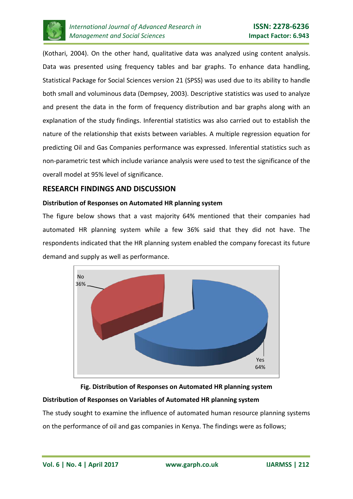

(Kothari, 2004). On the other hand, qualitative data was analyzed using content analysis. Data was presented using frequency tables and bar graphs. To enhance data handling, Statistical Package for Social Sciences version 21 (SPSS) was used due to its ability to handle both small and voluminous data (Dempsey, 2003). Descriptive statistics was used to analyze and present the data in the form of frequency distribution and bar graphs along with an explanation of the study findings. Inferential statistics was also carried out to establish the nature of the relationship that exists between variables. A multiple regression equation for predicting Oil and Gas Companies performance was expressed. Inferential statistics such as non-parametric test which include variance analysis were used to test the significance of the overall model at 95% level of significance.

# **RESEARCH FINDINGS AND DISCUSSION**

## **Distribution of Responses on Automated HR planning system**

The figure below shows that a vast majority 64% mentioned that their companies had automated HR planning system while a few 36% said that they did not have. The respondents indicated that the HR planning system enabled the company forecast its future demand and supply as well as performance.



**Fig. Distribution of Responses on Automated HR planning system**

# **Distribution of Responses on Variables of Automated HR planning system**

The study sought to examine the influence of automated human resource planning systems on the performance of oil and gas companies in Kenya. The findings were as follows;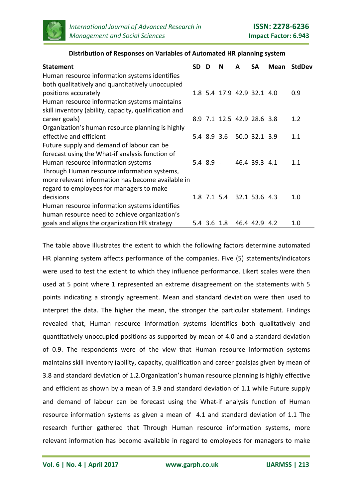

| <b>Statement</b>                                      | <b>SD</b> | D           | N                          | A | <b>SA</b>     | <b>Mean</b> | <b>StdDev</b> |
|-------------------------------------------------------|-----------|-------------|----------------------------|---|---------------|-------------|---------------|
| Human resource information systems identifies         |           |             |                            |   |               |             |               |
| both qualitatively and quantitatively unoccupied      |           |             |                            |   |               |             |               |
| positions accurately                                  |           |             | 1.8 5.4 17.9 42.9 32.1 4.0 |   |               |             | 0.9           |
| Human resource information systems maintains          |           |             |                            |   |               |             |               |
| skill inventory (ability, capacity, qualification and |           |             |                            |   |               |             |               |
| career goals)                                         |           |             | 8.9 7.1 12.5 42.9 28.6 3.8 |   |               |             | 1.2           |
| Organization's human resource planning is highly      |           |             |                            |   |               |             |               |
| effective and efficient                               |           |             | 5.4 8.9 3.6 50.0 32.1 3.9  |   |               |             | 1.1           |
| Future supply and demand of labour can be             |           |             |                            |   |               |             |               |
| forecast using the What-if analysis function of       |           |             |                            |   |               |             |               |
| Human resource information systems                    |           | $5.4$ 8.9 - |                            |   | 46.4 39.3 4.1 |             | 1.1           |
| Through Human resource information systems,           |           |             |                            |   |               |             |               |
| more relevant information has become available in     |           |             |                            |   |               |             |               |
| regard to employees for managers to make              |           |             |                            |   |               |             |               |
| decisions                                             |           |             | 1.8 7.1 5.4 32.1 53.6 4.3  |   |               |             | 1.0           |
| Human resource information systems identifies         |           |             |                            |   |               |             |               |
| human resource need to achieve organization's         |           |             |                            |   |               |             |               |
| goals and aligns the organization HR strategy         |           | 5.4 3.6 1.8 |                            |   | 46.4 42.9 4.2 |             | 1.0           |

#### **Distribution of Responses on Variables of Automated HR planning system**

The table above illustrates the extent to which the following factors determine automated HR planning system affects performance of the companies. Five (5) statements/indicators were used to test the extent to which they influence performance. Likert scales were then used at 5 point where 1 represented an extreme disagreement on the statements with 5 points indicating a strongly agreement. Mean and standard deviation were then used to interpret the data. The higher the mean, the stronger the particular statement. Findings revealed that, Human resource information systems identifies both qualitatively and quantitatively unoccupied positions as supported by mean of 4.0 and a standard deviation of 0.9. The respondents were of the view that Human resource information systems maintains skill inventory (ability, capacity, qualification and career goals)as given by mean of 3.8 and standard deviation of 1.2.Organization's human resource planning is highly effective and efficient as shown by a mean of 3.9 and standard deviation of 1.1 while Future supply and demand of labour can be forecast using the What-if analysis function of Human resource information systems as given a mean of 4.1 and standard deviation of 1.1 The research further gathered that Through Human resource information systems, more relevant information has become available in regard to employees for managers to make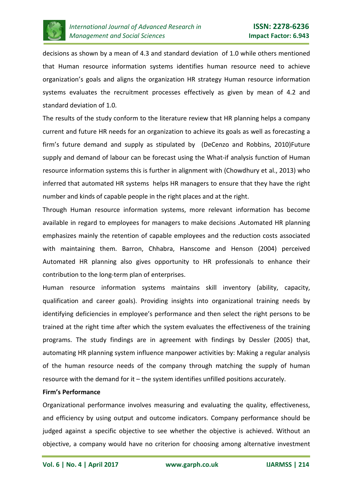

decisions as shown by a mean of 4.3 and standard deviation of 1.0 while others mentioned that Human resource information systems identifies human resource need to achieve organization's goals and aligns the organization HR strategy Human resource information systems evaluates the recruitment processes effectively as given by mean of 4.2 and standard deviation of 1.0.

The results of the study conform to the literature review that HR planning helps a company current and future HR needs for an organization to achieve its goals as well as forecasting a firm's future demand and supply as stipulated by (DeCenzo and Robbins, 2010)Future supply and demand of labour can be forecast using the What-if analysis function of Human resource information systems this is further in alignment with (Chowdhury et al., 2013) who inferred that automated HR systems helps HR managers to ensure that they have the right number and kinds of capable people in the right places and at the right.

Through Human resource information systems, more relevant information has become available in regard to employees for managers to make decisions .Automated HR planning emphasizes mainly the retention of capable employees and the reduction costs associated with maintaining them. Barron, Chhabra, Hanscome and Henson (2004) perceived Automated HR planning also gives opportunity to HR professionals to enhance their contribution to the long-term plan of enterprises.

Human resource information systems maintains skill inventory (ability, capacity, qualification and career goals). Providing insights into organizational training needs by identifying deficiencies in employee's performance and then select the right persons to be trained at the right time after which the system evaluates the effectiveness of the training programs. The study findings are in agreement with findings by Dessler (2005) that, automating HR planning system influence manpower activities by: Making a regular analysis of the human resource needs of the company through matching the supply of human resource with the demand for it – the system identifies unfilled positions accurately.

#### **Firm's Performance**

Organizational performance involves measuring and evaluating the quality, effectiveness, and efficiency by using output and outcome indicators. Company performance should be judged against a specific objective to see whether the objective is achieved. Without an objective, a company would have no criterion for choosing among alternative investment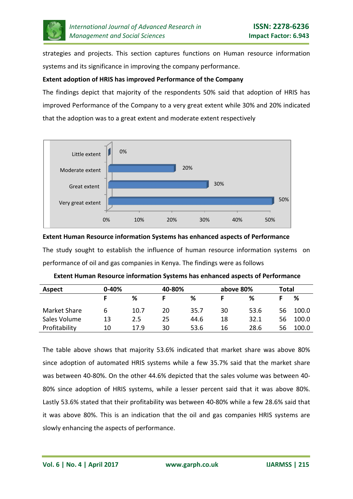

strategies and projects. This section captures functions on Human resource information systems and its significance in improving the company performance.

## **Extent adoption of HRIS has improved Performance of the Company**

The findings depict that majority of the respondents 50% said that adoption of HRIS has improved Performance of the Company to a very great extent while 30% and 20% indicated that the adoption was to a great extent and moderate extent respectively



## **Extent Human Resource information Systems has enhanced aspects of Performance**

The study sought to establish the influence of human resource information systems on performance of oil and gas companies in Kenya. The findings were as follows

| <b>Aspect</b> | $0 - 40%$ |      | 40-80% |      | above 80% |      | <b>Total</b> |       |
|---------------|-----------|------|--------|------|-----------|------|--------------|-------|
|               |           | %    |        | ℅    |           | %    |              | %     |
| Market Share  | 6         | 10.7 | 20     | 35.7 | 30        | 53.6 | 56           | 100.0 |
| Sales Volume  | 13        | 2.5  | 25     | 44.6 | 18        | 32.1 | 56           | 100.0 |
| Profitability | 10        | 17.9 | 30     | 53.6 | 16        | 28.6 | 56           | 100.0 |

The table above shows that majority 53.6% indicated that market share was above 80% since adoption of automated HRIS systems while a few 35.7% said that the market share was between 40-80%. On the other 44.6% depicted that the sales volume was between 40- 80% since adoption of HRIS systems, while a lesser percent said that it was above 80%. Lastly 53.6% stated that their profitability was between 40-80% while a few 28.6% said that it was above 80%. This is an indication that the oil and gas companies HRIS systems are slowly enhancing the aspects of performance.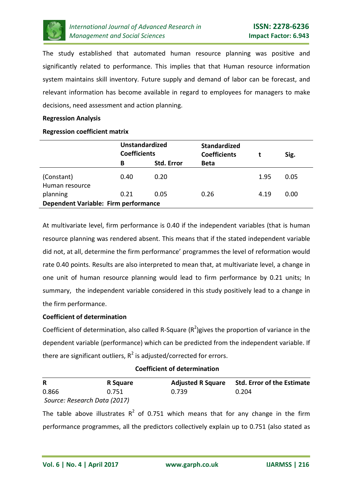

The study established that automated human resource planning was positive and significantly related to performance. This implies that that Human resource information system maintains skill inventory. Future supply and demand of labor can be forecast, and relevant information has become available in regard to employees for managers to make decisions, need assessment and action planning.

#### **Regression Analysis**

#### **Regression coefficient matrix**

|                                                  | <b>Unstandardized</b><br><b>Coefficients</b> |                   | <b>Standardized</b><br><b>Coefficients</b> |      | Sig. |
|--------------------------------------------------|----------------------------------------------|-------------------|--------------------------------------------|------|------|
|                                                  | В                                            | <b>Std. Error</b> | <b>Beta</b>                                |      |      |
| (Constant)<br>Human resource                     | 0.40                                         | 0.20              |                                            | 1.95 | 0.05 |
| planning<br>Dependent Variable: Firm performance | 0.21                                         | 0.05              | 0.26                                       | 4.19 | 0.00 |
|                                                  |                                              |                   |                                            |      |      |

At multivariate level, firm performance is 0.40 if the independent variables (that is human resource planning was rendered absent. This means that if the stated independent variable did not, at all, determine the firm performance' programmes the level of reformation would rate 0.40 points. Results are also interpreted to mean that, at multivariate level, a change in one unit of human resource planning would lead to firm performance by 0.21 units; In summary, the independent variable considered in this study positively lead to a change in the firm performance.

## **Coefficient of determination**

Coefficient of determination, also called R-Square  $(R^2)$ gives the proportion of variance in the dependent variable (performance) which can be predicted from the independent variable. If there are significant outliers,  $R^2$  is adjusted/corrected for errors.

| <b>Coefficient of determination</b> |          |       |                                              |  |  |
|-------------------------------------|----------|-------|----------------------------------------------|--|--|
| R                                   | R Square |       | Adjusted R Square Std. Error of the Estimate |  |  |
| 0.866                               | 0.751    | 0.739 | 0.204                                        |  |  |

*Source: Research Data (2017)*

The table above illustrates  $R^2$  of 0.751 which means that for any change in the firm performance programmes, all the predictors collectively explain up to 0.751 (also stated as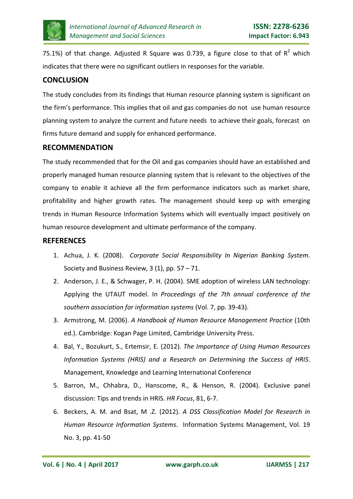

75.1%) of that change. Adjusted R Square was 0.739, a figure close to that of  $R^2$  which indicates that there were no significant outliers in responses for the variable.

# **CONCLUSION**

The study concludes from its findings that Human resource planning system is significant on the firm's performance. This implies that oil and gas companies do not use human resource planning system to analyze the current and future needs to achieve their goals, forecast on firms future demand and supply for enhanced performance.

## **RECOMMENDATION**

The study recommended that for the Oil and gas companies should have an established and properly managed human resource planning system that is relevant to the objectives of the company to enable it achieve all the firm performance indicators such as market share, profitability and higher growth rates. The management should keep up with emerging trends in Human Resource Information Systems which will eventually impact positively on human resource development and ultimate performance of the company.

# **REFERENCES**

- 1. Achua, J. K. (2008). *Corporate Social Responsibility In Nigerian Banking System.* Society and Business Review, 3 (1), pp. 57 – 71.
- 2. Anderson, J. E., & Schwager, P. H. (2004). SME adoption of wireless LAN technology: Applying the UTAUT model. In *Proceedings of the 7th annual conference of the southern association for information systems* (Vol. 7, pp. 39-43).
- 3. Armstrong, M. (2006). *A Handbook of Human Resource Management Practice* (10th ed.). Cambridge: Kogan Page Limited, Cambridge University Press.
- 4. Bal, Y., Bozukurt, S., Ertemsir, E. (2012). *The Importance of Using Human Resources Information Systems (HRIS) and a Research on Determining the Success of HRIS*. Management, Knowledge and Learning International Conference
- 5. Barron, M., Chhabra, D., Hanscome, R., & Henson, R. (2004). Exclusive panel discussion: Tips and trends in HRIS. *HR Focus*, 81, 6-7.
- 6. Beckers, A. M. and Bsat, M .Z. (2012). *A DSS Classification Model for Research in Human Resource Information Systems.* Information Systems Management, Vol. 19 No. 3, pp. 41-50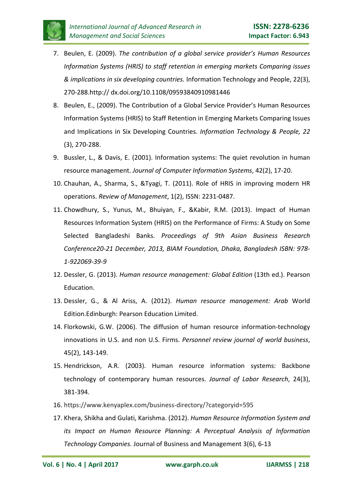

- 7. Beulen, E. (2009). *The contribution of a global service provider's Human Resources Information Systems (HRIS) to staff retention in emerging markets Comparing issues & implications in six developing countries.* Information Technology and People, 22(3), 270-288.http:// dx.doi.org/10.1108/09593840910981446
- 8. Beulen, E., (2009). The Contribution of a Global Service Provider's Human Resources Information Systems (HRIS) to Staff Retention in Emerging Markets Comparing Issues and Implications in Six Developing Countries. *Information Technology & People, 22* (3), 270-288.
- 9. Bussler, L., & Davis, E. (2001). Information systems: The quiet revolution in human resource management. *Journal of Computer Information Systems*, 42(2), 17-20.
- 10. Chauhan, A., Sharma, S., &Tyagi, T. (2011). Role of HRIS in improving modern HR operations. *Review of Management*, 1(2), ISSN: 2231-0487.
- 11. Chowdhury, S., Yunus, M., Bhuiyan, F., &Kabir, R.M. (2013). Impact of Human Resources Information System (HRIS) on the Performance of Firms: A Study on Some Selected Bangladeshi Banks. *Proceedings of 9th Asian Business Research Conference20-21 December, 2013, BIAM Foundation, Dhaka, Bangladesh ISBN: 978- 1-922069-39-9*
- 12. Dessler, G. (2013). *Human resource management: Global Edition* (13th ed.). Pearson Education.
- 13. Dessler, G., & Al Ariss, A. (2012). *Human resource management: Arab* World Edition.Edinburgh: Pearson Education Limited.
- 14. Florkowski, G.W. (2006). The diffusion of human resource information-technology innovations in U.S. and non U.S. Firms. *Personnel review journal of world business*, 45(2), 143-149.
- 15. Hendrickson, A.R. (2003). Human resource information systems: Backbone technology of contemporary human resources. *Journal of Labor Research*, 24(3), 381-394.
- 16. https://www.kenyaplex.com/business-directory/?categoryid=595
- 17. Khera, Shikha and Gulati, Karishma. (2012). *Human Resource Information System and its Impact on Human Resource Planning: A Perceptual Analysis of Information Technology Companies.* Journal of Business and Management 3(6), 6-13